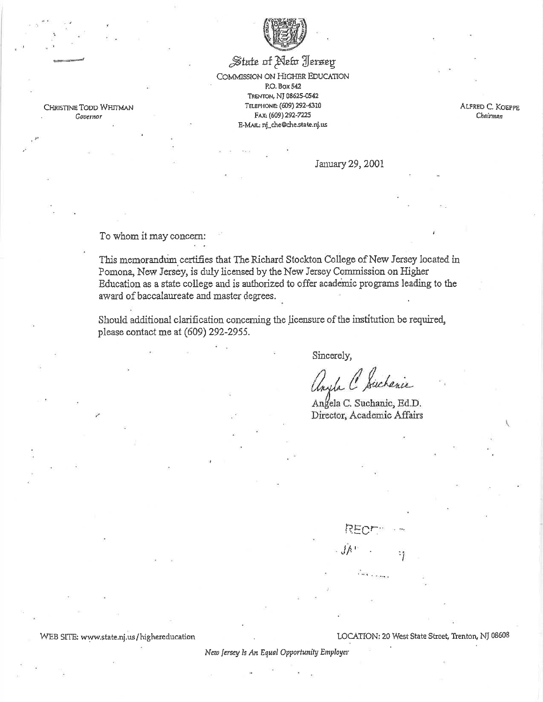

## State of New Jersey COMMISSION ON HIGHER EDUCATION P.O. Box 542 TRENTON, NJ 08625-0542 TELEPHONE: (609) 292-4310 FAX: (609) 292-7225 E-MAIL: nj\_che@che.state.nj.us

ALFRED C. KOEPPE Chairman

January 29, 2001

To whom it may concern:

CHRISTINE TODD WHITMAN

Governor

This memorandum certifies that The Richard Stockton College of New Jersey located in Pomona, New Jersey, is duly licensed by the New Jersey Commission on Higher Education as a state college and is authorized to offer academic programs leading to the award of baccalaureate and master degrees.

Should additional clarification concerning the licensure of the institution be required, please contact me at (609) 292-2955.

Sincerely,

Phichanic  $\sqrt{2}$ 

Angela C. Suchanic, Ed.D. Director, Academic Affairs

 $Jh$ <sup> $+$ </sup>

WEB SITE: www.state.nj.us/highereducation

LOCATION: 20 West State Street, Trenton, NJ 08608

New Jersey Is An Equal Opportunity Employer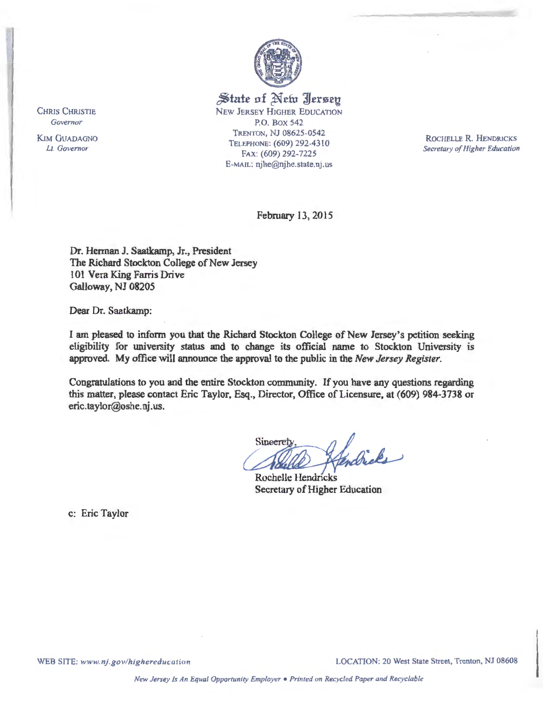

*~tate* **nf** ~ **efu J'Jerseu**  NEW JERSEY HIGHER EDUCATION

P.O. Box 542 TRENTON, NJ 08625-0542 TELEPHONE: (609) 292-4310 FAx: (609) 292-7225 E-MAIL: njhe@njhe.state.nj.us

ROCHELLE **R.** HENDRJCKS *Secretary of Higher Education* 

February 13, 2015

Dr. Herman J. Saatkamp, Jr., President The Richard Stockton College of New Jersey 101 Vera King Farris Drive Galloway, NJ 08205

Dear Dr. Saatkamp:

I am pleased to inform you that the Richard Stockton College of New Jersey's petition seeking eligibility for university status and to change its official name to Stockton University 1s approved. My office will announce the approval to the public in the *New Jersey Register.* 

Congratulations to you and the entire Stockton community. If you have any questions regarding this matter, please contact Eric Taylor, Esq., Director, Office of Licensure, at (609) 984-3738 or eric.taylor@oshe.nj.us.

Sineereb tendricks

Rochelle Hendricks Secretary of Higher Education

c: Eric Taylor

CHRIS CHRISTIE *Governor* 

KIM GUADAGNO *Lt. Governor* 

WEB SITE: www.nj.gov/highereducation **LOCATION: 20 West State Street, Trenton, NJ 08608**